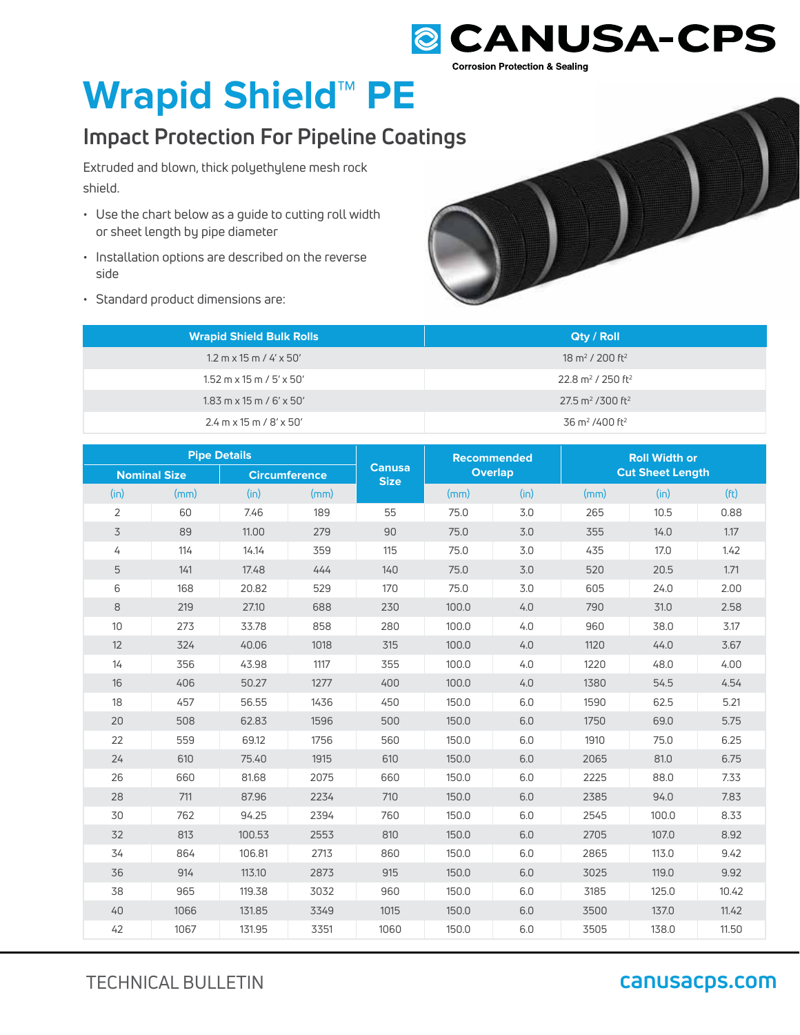## **@CANUSA-CPS Corrosion Protection & Sealing**

# **Wrapid Shield™ PE**

## **Impact Protection For Pipeline Coatings tings**

Extruded and blown, thick polyethylene mesh rock shield.

- Use the chart below as a guide to cutting roll width or sheet length by pipe diameter
- Installation options are described on the reverse side
- Standard product dimensions are:

| <b>Wrapid Shield Bulk Rolls</b>                      | <b>Qty / Roll</b>                          |
|------------------------------------------------------|--------------------------------------------|
| $1.2 \text{ m} \times 15 \text{ m} / 4' \times 50'$  | 18 m <sup>2</sup> / 200 ft <sup>2</sup>    |
| $1.52 \text{ m} \times 15 \text{ m} / 5' \times 50'$ | 22.8 m <sup>2</sup> / 250 ft <sup>2</sup>  |
| $1.83$ m x 15 m / 6' x 50'                           | $27.5$ m <sup>2</sup> /300 ft <sup>2</sup> |
| $2.4$ m x 15 m / 8' x 50'                            | 36 m <sup>2</sup> /400 ft <sup>2</sup>     |

| <b>Pipe Details</b> |      |                      |      | <b>Recommended</b>           |                | <b>Roll Width or</b> |                         |       |                   |
|---------------------|------|----------------------|------|------------------------------|----------------|----------------------|-------------------------|-------|-------------------|
| <b>Nominal Size</b> |      | <b>Circumference</b> |      | <b>Canusa</b><br><b>Size</b> | <b>Overlap</b> |                      | <b>Cut Sheet Length</b> |       |                   |
| (in)                | (mm) | (in)                 | (mm) |                              | (mm)           | (in)                 | (mm)                    | (in)  | (f <sub>t</sub> ) |
| $\overline{2}$      | 60   | 7.46                 | 189  | 55                           | 75.0           | 3.0                  | 265                     | 10.5  | 0.88              |
| 3                   | 89   | 11.00                | 279  | 90                           | 75.0           | 3.0                  | 355                     | 14.0  | 1.17              |
| 4                   | 114  | 14.14                | 359  | 115                          | 75.0           | 3.0                  | 435                     | 17.0  | 1.42              |
| 5                   | 141  | 17.48                | 444  | 140                          | 75.0           | 3.0                  | 520                     | 20.5  | 1.71              |
| 6                   | 168  | 20.82                | 529  | 170                          | 75.0           | 3.0                  | 605                     | 24.0  | 2.00              |
| 8                   | 219  | 27.10                | 688  | 230                          | 100.0          | 4.0                  | 790                     | 31.0  | 2.58              |
| 10                  | 273  | 33.78                | 858  | 280                          | 100.0          | 4.0                  | 960                     | 38.0  | 3.17              |
| 12                  | 324  | 40.06                | 1018 | 315                          | 100.0          | 4.0                  | 1120                    | 44.0  | 3.67              |
| 14                  | 356  | 43.98                | 1117 | 355                          | 100.0          | 4.0                  | 1220                    | 48.0  | 4.00              |
| 16                  | 406  | 50.27                | 1277 | 400                          | 100.0          | 4.0                  | 1380                    | 54.5  | 4.54              |
| 18                  | 457  | 56.55                | 1436 | 450                          | 150.0          | 6.0                  | 1590                    | 62.5  | 5.21              |
| 20                  | 508  | 62.83                | 1596 | 500                          | 150.0          | 6.0                  | 1750                    | 69.0  | 5.75              |
| 22                  | 559  | 69.12                | 1756 | 560                          | 150.0          | 6.0                  | 1910                    | 75.0  | 6.25              |
| 24                  | 610  | 75.40                | 1915 | 610                          | 150.0          | 6.0                  | 2065                    | 81.0  | 6.75              |
| 26                  | 660  | 81.68                | 2075 | 660                          | 150.0          | 6.0                  | 2225                    | 88.0  | 7.33              |
| 28                  | 711  | 87.96                | 2234 | 710                          | 150.0          | 6.0                  | 2385                    | 94.0  | 7.83              |
| 30                  | 762  | 94.25                | 2394 | 760                          | 150.0          | 6.0                  | 2545                    | 100.0 | 8.33              |
| 32                  | 813  | 100.53               | 2553 | 810                          | 150.0          | 6.0                  | 2705                    | 107.0 | 8.92              |
| 34                  | 864  | 106.81               | 2713 | 860                          | 150.0          | 6.0                  | 2865                    | 113.0 | 9.42              |
| 36                  | 914  | 113.10               | 2873 | 915                          | 150.0          | 6.0                  | 3025                    | 119.0 | 9.92              |
| 38                  | 965  | 119.38               | 3032 | 960                          | 150.0          | 6.0                  | 3185                    | 125.0 | 10.42             |
| 40                  | 1066 | 131.85               | 3349 | 1015                         | 150.0          | 6.0                  | 3500                    | 137.0 | 11.42             |
| 42                  | 1067 | 131.95               | 3351 | 1060                         | 150.0          | 6.0                  | 3505                    | 138.0 | 11.50             |

TECHNICAL BULLETIN **canusacps.com**